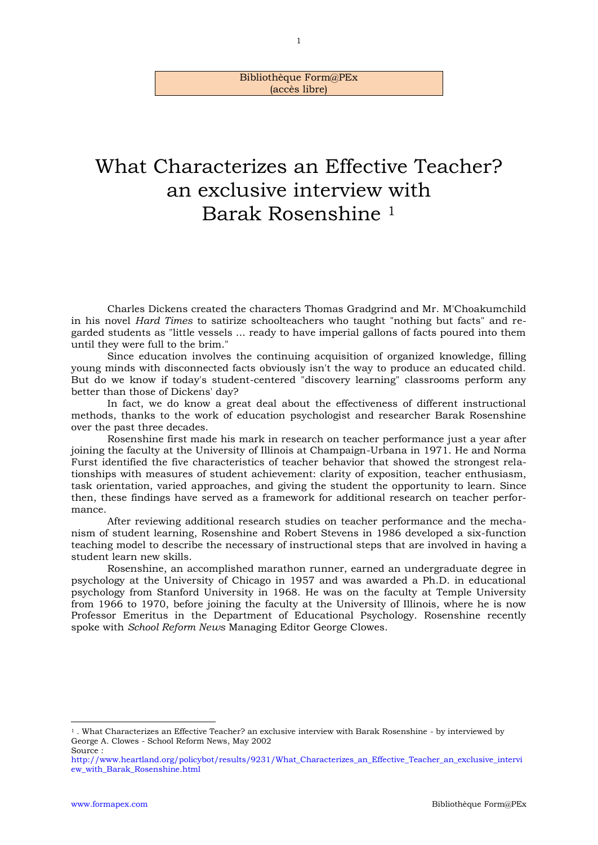## Bibliothèque Form@PEx (accès libre)

# What Characterizes an Effective Teacher? an exclusive interview with Barak Rosenshine <sup>1</sup>

Charles Dickens created the characters Thomas Gradgrind and Mr. M'Choakumchild in his novel *Hard Times* to satirize schoolteachers who taught "nothing but facts" and regarded students as "little vessels ... ready to have imperial gallons of facts poured into them until they were full to the brim."

Since education involves the continuing acquisition of organized knowledge, filling young minds with disconnected facts obviously isn't the way to produce an educated child. But do we know if today's student-centered "discovery learning" classrooms perform any better than those of Dickens' day?

In fact, we do know a great deal about the effectiveness of different instructional methods, thanks to the work of education psychologist and researcher Barak Rosenshine over the past three decades.

Rosenshine first made his mark in research on teacher performance just a year after joining the faculty at the University of Illinois at Champaign-Urbana in 1971. He and Norma Furst identified the five characteristics of teacher behavior that showed the strongest relationships with measures of student achievement: clarity of exposition, teacher enthusiasm, task orientation, varied approaches, and giving the student the opportunity to learn. Since then, these findings have served as a framework for additional research on teacher performance.

After reviewing additional research studies on teacher performance and the mechanism of student learning, Rosenshine and Robert Stevens in 1986 developed a six-function teaching model to describe the necessary of instructional steps that are involved in having a student learn new skills.

Rosenshine, an accomplished marathon runner, earned an undergraduate degree in psychology at the University of Chicago in 1957 and was awarded a Ph.D. in educational psychology from Stanford University in 1968. He was on the faculty at Temple University from 1966 to 1970, before joining the faculty at the University of Illinois, where he is now Professor Emeritus in the Department of Educational Psychology. Rosenshine recently spoke with *School Reform News* Managing Editor George Clowes.

-

<sup>1</sup> . What Characterizes an Effective Teacher? an exclusive interview with Barak Rosenshine - by interviewed by George A. Clowes - School Reform News, May 2002

Source :

[http://www.heartland.org/policybot/results/9231/What\\_Characterizes\\_an\\_Effective\\_Teacher\\_an\\_exclusive\\_intervi](http://www.heartland.org/policybot/results/9231/What_Characterizes_an_Effective_Teacher_an_exclusive_interview_with_Barak_Rosenshine.html) [ew\\_with\\_Barak\\_Rosenshine.html](http://www.heartland.org/policybot/results/9231/What_Characterizes_an_Effective_Teacher_an_exclusive_interview_with_Barak_Rosenshine.html)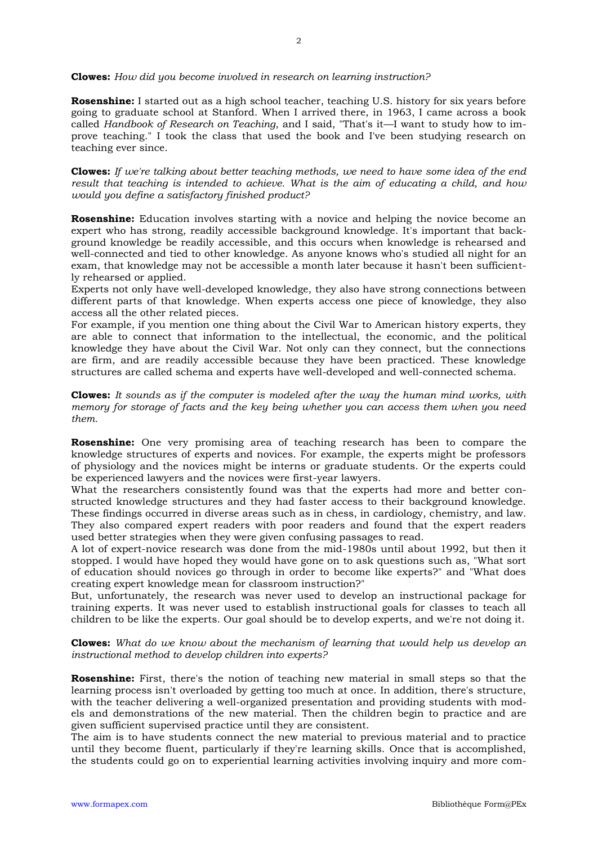**Rosenshine:** I started out as a high school teacher, teaching U.S. history for six years before going to graduate school at Stanford. When I arrived there, in 1963, I came across a book called *Handbook of Research on Teaching*, and I said, "That's it—I want to study how to improve teaching." I took the class that used the book and I've been studying research on teaching ever since.

**Clowes:** *If we're talking about better teaching methods, we need to have some idea of the end result that teaching is intended to achieve. What is the aim of educating a child, and how would you define a satisfactory finished product?*

**Rosenshine:** Education involves starting with a novice and helping the novice become an expert who has strong, readily accessible background knowledge. It's important that background knowledge be readily accessible, and this occurs when knowledge is rehearsed and well-connected and tied to other knowledge. As anyone knows who's studied all night for an exam, that knowledge may not be accessible a month later because it hasn't been sufficiently rehearsed or applied.

Experts not only have well-developed knowledge, they also have strong connections between different parts of that knowledge. When experts access one piece of knowledge, they also access all the other related pieces.

For example, if you mention one thing about the Civil War to American history experts, they are able to connect that information to the intellectual, the economic, and the political knowledge they have about the Civil War. Not only can they connect, but the connections are firm, and are readily accessible because they have been practiced. These knowledge structures are called schema and experts have well-developed and well-connected schema.

**Clowes:** *It sounds as if the computer is modeled after the way the human mind works, with memory for storage of facts and the key being whether you can access them when you need them.*

**Rosenshine:** One very promising area of teaching research has been to compare the knowledge structures of experts and novices. For example, the experts might be professors of physiology and the novices might be interns or graduate students. Or the experts could be experienced lawyers and the novices were first-year lawyers.

What the researchers consistently found was that the experts had more and better constructed knowledge structures and they had faster access to their background knowledge. These findings occurred in diverse areas such as in chess, in cardiology, chemistry, and law. They also compared expert readers with poor readers and found that the expert readers used better strategies when they were given confusing passages to read.

A lot of expert-novice research was done from the mid-1980s until about 1992, but then it stopped. I would have hoped they would have gone on to ask questions such as, "What sort of education should novices go through in order to become like experts?" and "What does creating expert knowledge mean for classroom instruction?"

But, unfortunately, the research was never used to develop an instructional package for training experts. It was never used to establish instructional goals for classes to teach all children to be like the experts. Our goal should be to develop experts, and we're not doing it.

**Clowes:** *What do we know about the mechanism of learning that would help us develop an instructional method to develop children into experts?*

**Rosenshine:** First, there's the notion of teaching new material in small steps so that the learning process isn't overloaded by getting too much at once. In addition, there's structure, with the teacher delivering a well-organized presentation and providing students with models and demonstrations of the new material. Then the children begin to practice and are given sufficient supervised practice until they are consistent.

The aim is to have students connect the new material to previous material and to practice until they become fluent, particularly if they're learning skills. Once that is accomplished, the students could go on to experiential learning activities involving inquiry and more com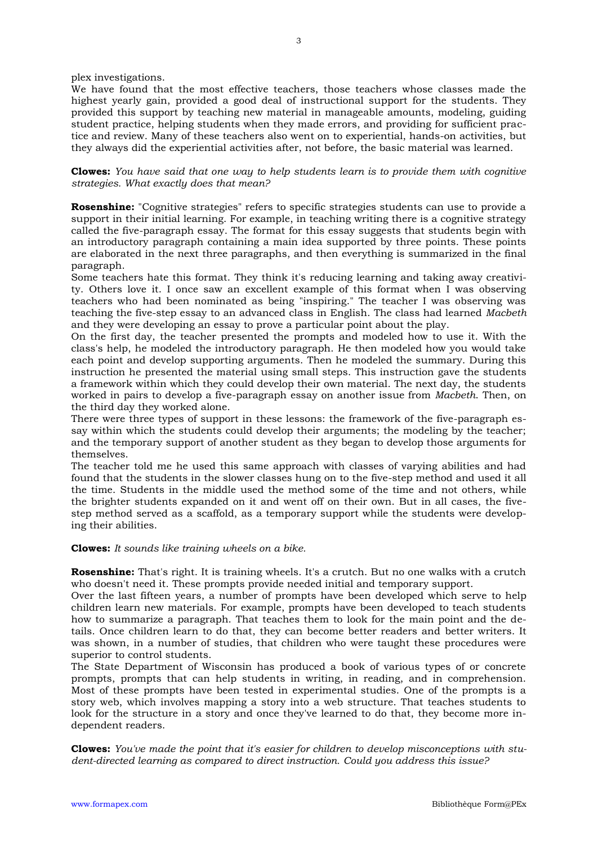plex investigations.

We have found that the most effective teachers, those teachers whose classes made the highest yearly gain, provided a good deal of instructional support for the students. They provided this support by teaching new material in manageable amounts, modeling, guiding student practice, helping students when they made errors, and providing for sufficient practice and review. Many of these teachers also went on to experiential, hands-on activities, but they always did the experiential activities after, not before, the basic material was learned.

**Clowes:** *You have said that one way to help students learn is to provide them with cognitive strategies. What exactly does that mean?*

**Rosenshine:** "Cognitive strategies" refers to specific strategies students can use to provide a support in their initial learning. For example, in teaching writing there is a cognitive strategy called the five-paragraph essay. The format for this essay suggests that students begin with an introductory paragraph containing a main idea supported by three points. These points are elaborated in the next three paragraphs, and then everything is summarized in the final paragraph.

Some teachers hate this format. They think it's reducing learning and taking away creativity. Others love it. I once saw an excellent example of this format when I was observing teachers who had been nominated as being "inspiring." The teacher I was observing was teaching the five-step essay to an advanced class in English. The class had learned *Macbeth*  and they were developing an essay to prove a particular point about the play.

On the first day, the teacher presented the prompts and modeled how to use it. With the class's help, he modeled the introductory paragraph. He then modeled how you would take each point and develop supporting arguments. Then he modeled the summary. During this instruction he presented the material using small steps. This instruction gave the students a framework within which they could develop their own material. The next day, the students worked in pairs to develop a five-paragraph essay on another issue from *Macbeth*. Then, on the third day they worked alone.

There were three types of support in these lessons: the framework of the five-paragraph essay within which the students could develop their arguments; the modeling by the teacher; and the temporary support of another student as they began to develop those arguments for themselves.

The teacher told me he used this same approach with classes of varying abilities and had found that the students in the slower classes hung on to the five-step method and used it all the time. Students in the middle used the method some of the time and not others, while the brighter students expanded on it and went off on their own. But in all cases, the fivestep method served as a scaffold, as a temporary support while the students were developing their abilities.

**Clowes:** *It sounds like training wheels on a bike.*

**Rosenshine:** That's right. It is training wheels. It's a crutch. But no one walks with a crutch who doesn't need it. These prompts provide needed initial and temporary support.

Over the last fifteen years, a number of prompts have been developed which serve to help children learn new materials. For example, prompts have been developed to teach students how to summarize a paragraph. That teaches them to look for the main point and the details. Once children learn to do that, they can become better readers and better writers. It was shown, in a number of studies, that children who were taught these procedures were superior to control students.

The State Department of Wisconsin has produced a book of various types of or concrete prompts, prompts that can help students in writing, in reading, and in comprehension. Most of these prompts have been tested in experimental studies. One of the prompts is a story web, which involves mapping a story into a web structure. That teaches students to look for the structure in a story and once they've learned to do that, they become more independent readers.

**Clowes:** *You've made the point that it's easier for children to develop misconceptions with student-directed learning as compared to direct instruction. Could you address this issue?*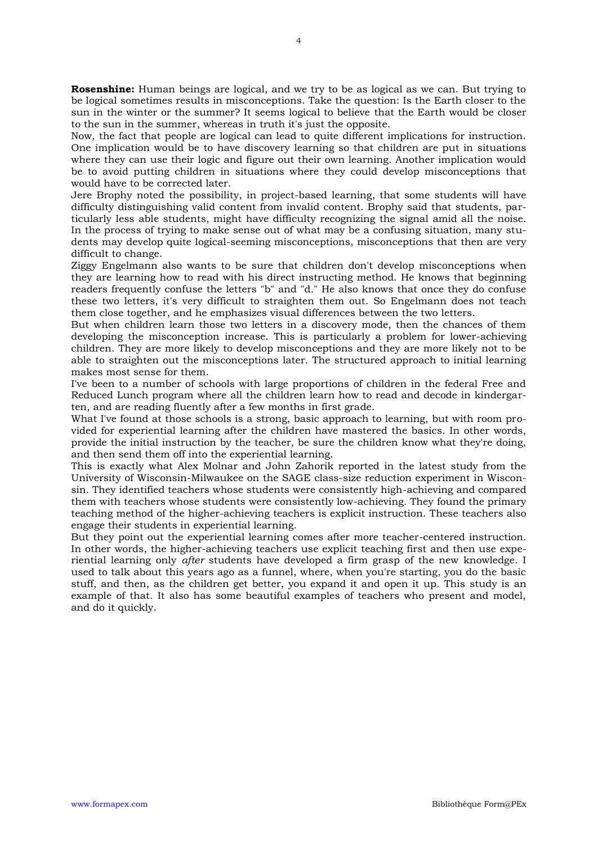**Rosenshine:** Human beings are logical, and we try to be as logical as we can. But trying to be logical sometimes results in misconceptions. Take the question: Is the Earth closer to the sun in the winter or the summer? It seems logical to believe that the Earth would be closer to the sun in the summer, whereas in truth it's just the opposite.

Now, the fact that people are logical can lead to quite different implications for instruction. One implication would be to have discovery learning so that children are put in situations where they can use their logic and figure out their own learning. Another implication would be to avoid putting children in situations where they could develop misconceptions that would have to be corrected later.

Jere Brophy noted the possibility, in project-based learning, that some students will have difficulty distinguishing valid content from invalid content. Brophy said that students, particularly less able students, might have difficulty recognizing the signal amid all the noise. In the process of trying to make sense out of what may be a confusing situation, many students may develop quite logical-seeming misconceptions, misconceptions that then are very difficult to change.

Ziggy Engelmann also wants to be sure that children don't develop misconceptions when they are learning how to read with his direct instructing method. He knows that beginning readers frequently confuse the letters "b" and "d." He also knows that once they do confuse these two letters, it's very difficult to straighten them out. So Engelmann does not teach them close together, and he emphasizes visual differences between the two letters.

But when children learn those two letters in a discovery mode, then the chances of them developing the misconception increase. This is particularly a problem for lower-achieving children. They are more likely to develop misconceptions and they are more likely not to be able to straighten out the misconceptions later. The structured approach to initial learning makes most sense for them.

I've been to a number of schools with large proportions of children in the federal Free and Reduced Lunch program where all the children learn how to read and decode in kindergarten, and are reading fluently after a few months in first grade.

What I've found at those schools is a strong, basic approach to learning, but with room provided for experiential learning after the children have mastered the basics. In other words, provide the initial instruction by the teacher, be sure the children know what they're doing, and then send them off into the experiential learning.

This is exactly what Alex Molnar and John Zahorik reported in the latest study from the University of Wisconsin-Milwaukee on the SAGE class-size reduction experiment in Wisconsin. They identified teachers whose students were consistently high-achieving and compared them with teachers whose students were consistently low-achieving. They found the primary teaching method of the higher-achieving teachers is explicit instruction. These teachers also engage their students in experiential learning.

But they point out the experiential learning comes after more teacher-centered instruction. In other words, the higher-achieving teachers use explicit teaching first and then use experiential learning only *after* students have developed a firm grasp of the new knowledge. I used to talk about this years ago as a funnel, where, when you're starting, you do the basic stuff, and then, as the children get better, you expand it and open it up. This study is an example of that. It also has some beautiful examples of teachers who present and model, and do it quickly.